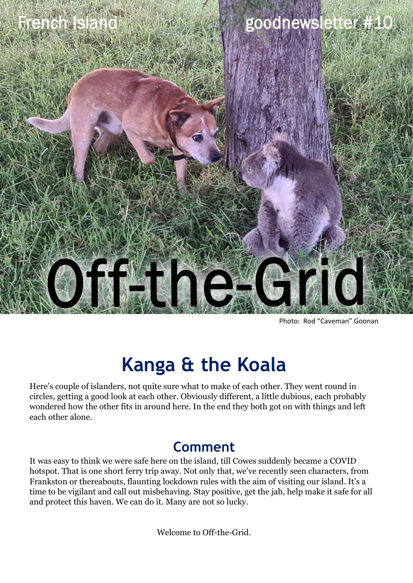

Photo: Rod "Caveman" Goonan

#### **Kanga & the Koala**

Here's couple of islanders, not quite sure what to make of each other. They went round in circles, getting a good look at each other. Obviously different, a little dubious, each probably wondered how the other fits in around here. In the end they both got on with things and left each other alone.

#### **Comment**

It was easy to think we were safe here on the island, till Cowes suddenly became a COVID hotspot. That is one short ferry trip away. Not only that, we've recently seen characters, from Frankston or thereabouts, flaunting lockdown rules with the aim of visiting our island. It's a time to be vigilant and call out misbehaving. Stay positive, get the jab, help make it safe for all and protect this haven. We can do it. Many are not so lucky.

Welcome to Off-the-Grid.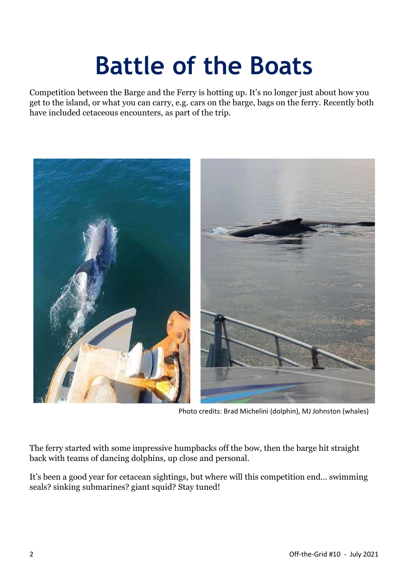## **Battle of the Boats**

Competition between the Barge and the Ferry is hotting up. It's no longer just about how you get to the island, or what you can carry, e.g. cars on the barge, bags on the ferry. Recently both have included cetaceous encounters, as part of the trip.



Photo credits: Brad Michelini (dolphin), MJ Johnston (whales)

The ferry started with some impressive humpbacks off the bow, then the barge hit straight back with teams of dancing dolphins, up close and personal.

It's been a good year for cetacean sightings, but where will this competition end… swimming seals? sinking submarines? giant squid? Stay tuned!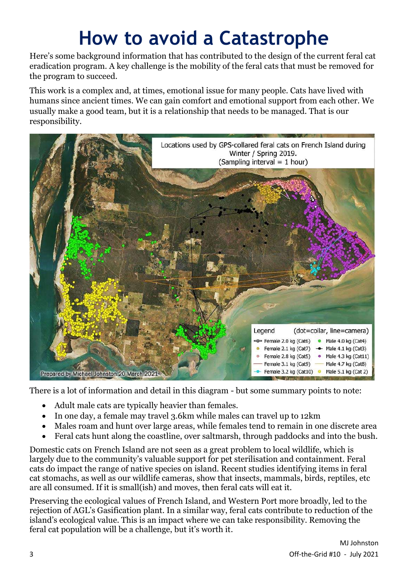### **How to avoid a Catastrophe**

Here's some background information that has contributed to the design of the current feral cat eradication program. A key challenge is the mobility of the feral cats that must be removed for the program to succeed.

This work is a complex and, at times, emotional issue for many people. Cats have lived with humans since ancient times. We can gain comfort and emotional support from each other. We usually make a good team, but it is a relationship that needs to be managed. That is our responsibility.



There is a lot of information and detail in this diagram - but some summary points to note:

- Adult male cats are typically heavier than females.
- In one day, a female may travel 3.6km while males can travel up to 12km
- Males roam and hunt over large areas, while females tend to remain in one discrete area
- Feral cats hunt along the coastline, over saltmarsh, through paddocks and into the bush.

Domestic cats on French Island are not seen as a great problem to local wildlife, which is largely due to the community's valuable support for pet sterilisation and containment. Feral cats do impact the range of native species on island. Recent studies identifying items in feral cat stomachs, as well as our wildlife cameras, show that insects, mammals, birds, reptiles, etc are all consumed. If it is small(ish) and moves, then feral cats will eat it.

Preserving the ecological values of French Island, and Western Port more broadly, led to the rejection of AGL's Gasification plant. In a similar way, feral cats contribute to reduction of the island's ecological value. This is an impact where we can take responsibility. Removing the feral cat population will be a challenge, but it's worth it.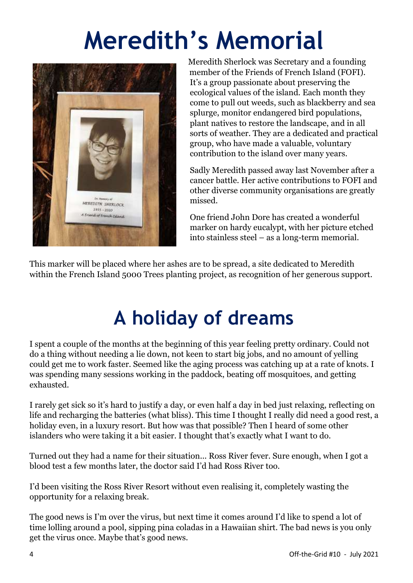# **Meredith's Memorial**



Meredith Sherlock was Secretary and a founding member of the Friends of French Island (FOFI). It's a group passionate about preserving the ecological values of the island. Each month they come to pull out weeds, such as blackberry and sea splurge, monitor endangered bird populations, plant natives to restore the landscape, and in all sorts of weather. They are a dedicated and practical group, who have made a valuable, voluntary contribution to the island over many years.

Sadly Meredith passed away last November after a cancer battle. Her active contributions to FOFI and other diverse community organisations are greatly missed.

One friend John Dore has created a wonderful marker on hardy eucalypt, with her picture etched into stainless steel – as a long-term memorial.

This marker will be placed where her ashes are to be spread, a site dedicated to Meredith within the French Island 5000 Trees planting project, as recognition of her generous support.

### **A holiday of dreams**

I spent a couple of the months at the beginning of this year feeling pretty ordinary. Could not do a thing without needing a lie down, not keen to start big jobs, and no amount of yelling could get me to work faster. Seemed like the aging process was catching up at a rate of knots. I was spending many sessions working in the paddock, beating off mosquitoes, and getting exhausted.

I rarely get sick so it's hard to justify a day, or even half a day in bed just relaxing, reflecting on life and recharging the batteries (what bliss). This time I thought I really did need a good rest, a holiday even, in a luxury resort. But how was that possible? Then I heard of some other islanders who were taking it a bit easier. I thought that's exactly what I want to do.

Turned out they had a name for their situation... Ross River fever. Sure enough, when I got a blood test a few months later, the doctor said I'd had Ross River too.

I'd been visiting the Ross River Resort without even realising it, completely wasting the opportunity for a relaxing break.

The good news is I'm over the virus, but next time it comes around I'd like to spend a lot of time lolling around a pool, sipping pina coladas in a Hawaiian shirt. The bad news is you only get the virus once. Maybe that's good news.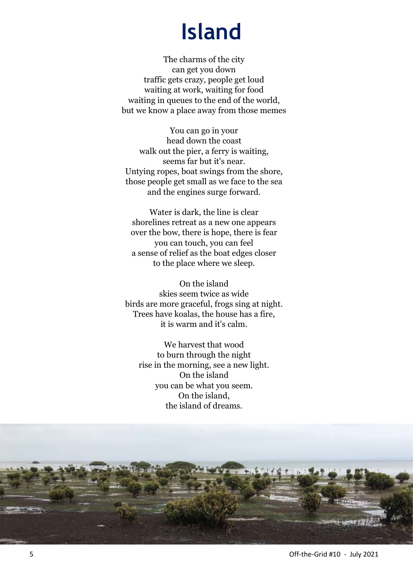### **Island**

The charms of the city can get you down traffic gets crazy, people get loud waiting at work, waiting for food waiting in queues to the end of the world, but we know a place away from those memes

You can go in your head down the coast walk out the pier, a ferry is waiting, seems far but it's near. Untying ropes, boat swings from the shore, those people get small as we face to the sea and the engines surge forward.

Water is dark, the line is clear shorelines retreat as a new one appears over the bow, there is hope, there is fear you can touch, you can feel a sense of relief as the boat edges closer to the place where we sleep.

On the island skies seem twice as wide birds are more graceful, frogs sing at night. Trees have koalas, the house has a fire, it is warm and it's calm.

We harvest that wood to burn through the night rise in the morning, see a new light. On the island you can be what you seem. On the island, the island of dreams.